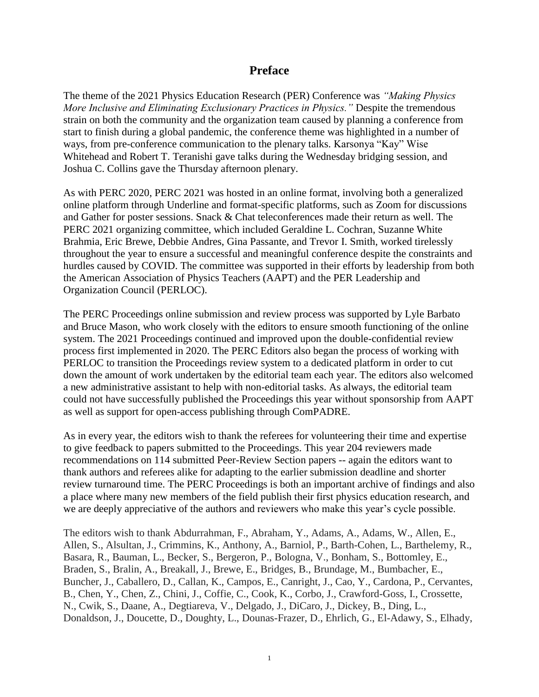## **Preface**

The theme of the 2021 Physics Education Research (PER) Conference was *"Making Physics More Inclusive and Eliminating Exclusionary Practices in Physics."* Despite the tremendous strain on both the community and the organization team caused by planning a conference from start to finish during a global pandemic, the conference theme was highlighted in a number of ways, from pre-conference communication to the plenary talks. Karsonya "Kay" Wise Whitehead and Robert T. Teranishi gave talks during the Wednesday bridging session, and Joshua C. Collins gave the Thursday afternoon plenary.

As with PERC 2020, PERC 2021 was hosted in an online format, involving both a generalized online platform through Underline and format-specific platforms, such as Zoom for discussions and Gather for poster sessions. Snack & Chat teleconferences made their return as well. The PERC 2021 organizing committee, which included Geraldine L. Cochran, Suzanne White Brahmia, Eric Brewe, Debbie Andres, Gina Passante, and Trevor I. Smith, worked tirelessly throughout the year to ensure a successful and meaningful conference despite the constraints and hurdles caused by COVID. The committee was supported in their efforts by leadership from both the American Association of Physics Teachers (AAPT) and the PER Leadership and Organization Council (PERLOC).

The PERC Proceedings online submission and review process was supported by Lyle Barbato and Bruce Mason, who work closely with the editors to ensure smooth functioning of the online system. The 2021 Proceedings continued and improved upon the double-confidential review process first implemented in 2020. The PERC Editors also began the process of working with PERLOC to transition the Proceedings review system to a dedicated platform in order to cut down the amount of work undertaken by the editorial team each year. The editors also welcomed a new administrative assistant to help with non-editorial tasks. As always, the editorial team could not have successfully published the Proceedings this year without sponsorship from AAPT as well as support for open-access publishing through ComPADRE.

As in every year, the editors wish to thank the referees for volunteering their time and expertise to give feedback to papers submitted to the Proceedings. This year 204 reviewers made recommendations on 114 submitted Peer-Review Section papers -- again the editors want to thank authors and referees alike for adapting to the earlier submission deadline and shorter review turnaround time. The PERC Proceedings is both an important archive of findings and also a place where many new members of the field publish their first physics education research, and we are deeply appreciative of the authors and reviewers who make this year's cycle possible.

The editors wish to thank Abdurrahman, F., Abraham, Y., Adams, A., Adams, W., Allen, E., Allen, S., Alsultan, J., Crimmins, K., Anthony, A., Barniol, P., Barth-Cohen, L., Barthelemy, R., Basara, R., Bauman, L., Becker, S., Bergeron, P., Bologna, V., Bonham, S., Bottomley, E., Braden, S., Bralin, A., Breakall, J., Brewe, E., Bridges, B., Brundage, M., Bumbacher, E., Buncher, J., Caballero, D., Callan, K., Campos, E., Canright, J., Cao, Y., Cardona, P., Cervantes, B., Chen, Y., Chen, Z., Chini, J., Coffie, C., Cook, K., Corbo, J., Crawford-Goss, I., Crossette, N., Cwik, S., Daane, A., Degtiareva, V., Delgado, J., DiCaro, J., Dickey, B., Ding, L., Donaldson, J., Doucette, D., Doughty, L., Dounas-Frazer, D., Ehrlich, G., El-Adawy, S., Elhady,